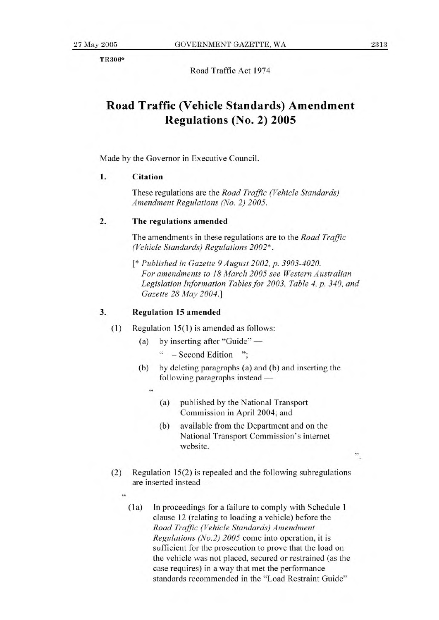TR306\*

Road Traffic Act 1974

## **Road Traffic (Vehicle Standards) Amendment Regulations (No. 2) 2005**

Made by the Governor in Executive Council.

## **1. Citation**

These regulations are the *Road Traffic (Vehicle Standards) Amendment Regulations (No. 2) 2005.* 

## **2. The regulations** amended

The amendments in these regulations are to the *Road Traffic (Vehicle Standards) Regulations 2002\*.* 

*[\* Published in Gazette 9 August 2002, p. 3903-4020. For amendments to 18 March 2005 see Western Australian Legislation Information Tables for 2003, Table 4, p. 340, and Gazette 28 May 2004.]* 

## **3. Regulation 15 amended**

- (1) Regulation 15(1) is amended as follows:
	- (a) by inserting after "Guide"
		- " Second Edition ";
	- (b) by deleting paragraphs (a) and (b) and inserting the following paragraphs instead
		- 44
			- (a) published by the National Transport Commission in April 2004; and
			- (b) available from the Department and on the National Transport Commission's interne website.
- (2) Regulation 15(2) is repealed and the following subregulations are inserted instead —
	- $\epsilon$ 
		- **(la)** In proceedings for a failure to comply with Schedule 1 clause 12 (relating to loading a vehicle) before the *Road Traffic (Vehicle Standards) Amendment Regulations (No.2) 2005* come into operation, it is sufficient for the prosecution to prove that the load on the vehicle was not placed, secured or restrained (as the case requires) in a way that met the performance standards recommended in the "Load Restraint Guide"

".